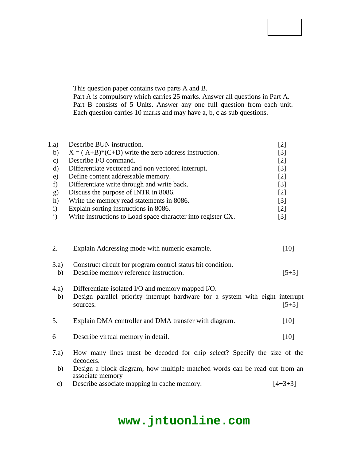#### **Code No: 114CN**

## **JAWAHARLAL NEHRU TECHNOLOGICAL UNIVERSITY HYDERABAD B.Tech II Year II Semester Examinations, October/November - 2016 COMPUTER ORGANIZATION**

#### **(Computer Science and Engineering)**

### **Time: 3 Hours Max. Marks: 75**

**Note:** This question paper contains two parts A and B. Part A is compulsory which carries 25 marks. Answer all questions in Part A. Part B consists of 5 Units. Answer any one full question from each unit. Each question carries 10 marks and may have a, b, c as sub questions.

#### **PART - A (25 Marks)**

| 1.a)         | Describe BUN instruction.                                    | [2]               |
|--------------|--------------------------------------------------------------|-------------------|
| b)           | $X = (A+B)*(C+D)$ write the zero address instruction.        | [3]               |
| C)           | Describe I/O command.                                        | [2]               |
| d)           | Differentiate vectored and non vectored interrupt.           | [3]               |
| e)           | Define content addressable memory.                           | $\lceil 2 \rceil$ |
|              | Differentiate write through and write back.                  | $[3]$             |
| g)           | Discuss the purpose of INTR in 8086.                         | [2]               |
| h)           | Write the memory read statements in 8086.                    | $[3]$             |
| $\mathbf{i}$ | Explain sorting instructions in 8086.                        | [2]               |
|              | Write instructions to Load space character into register CX. | [3]               |

#### **PART - B (50 Marks)**

| 2.            | Explain Addressing mode with numeric example.                                                  | [10]      |
|---------------|------------------------------------------------------------------------------------------------|-----------|
|               | OR.                                                                                            |           |
| 3.a)          | Construct circuit for program control status bit condition.                                    |           |
| b)            | Describe memory reference instruction.                                                         | $[5+5]$   |
| (4.a)         | Differentiate isolated I/O and memory mapped I/O.                                              |           |
| b)            | Design parallel priority interrupt hardware for a system with eight interrupt                  |           |
|               | sources.                                                                                       | $[5+5]$   |
|               | <b>OR</b>                                                                                      |           |
| 5.            | Explain DMA controller and DMA transfer with diagram.                                          | [10]      |
| 6             | Describe virtual memory in detail.                                                             | [10]      |
|               | <b>OR</b>                                                                                      |           |
| 7.a)          | How many lines must be decoded for chip select? Specify the size of the<br>decoders.           |           |
| b)            | Design a block diagram, how multiple matched words can be read out from an<br>associate memory |           |
| $\mathbf{c})$ | Describe associate mapping in cache memory.                                                    | $[4+3+3]$ |

# **www.jntuonline.com**